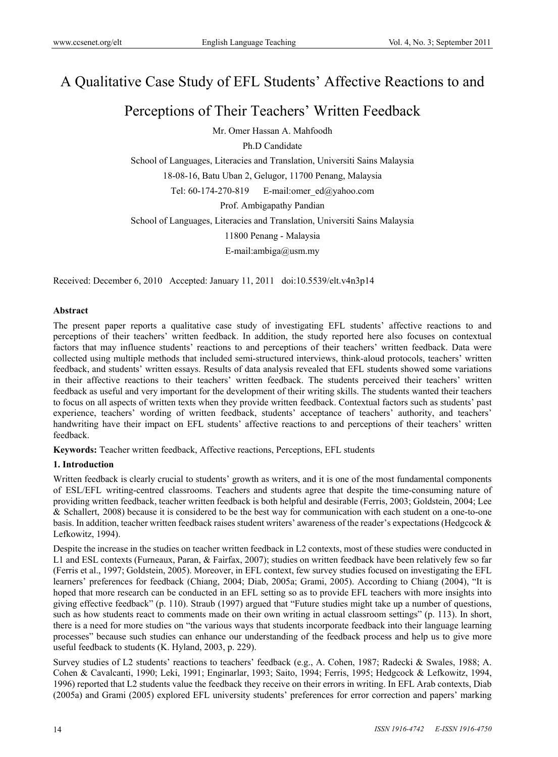# A Qualitative Case Study of EFL Students' Affective Reactions to and

# Perceptions of Their Teachers' Written Feedback

Mr. Omer Hassan A. Mahfoodh

Ph.D Candidate

School of Languages, Literacies and Translation, Universiti Sains Malaysia

18-08-16, Batu Uban 2, Gelugor, 11700 Penang, Malaysia

Tel: 60-174-270-819 E-mail:omer\_ed@yahoo.com

Prof. Ambigapathy Pandian

School of Languages, Literacies and Translation, Universiti Sains Malaysia

11800 Penang - Malaysia

E-mail:ambiga@usm.my

Received: December 6, 2010 Accepted: January 11, 2011 doi:10.5539/elt.v4n3p14

## **Abstract**

The present paper reports a qualitative case study of investigating EFL students' affective reactions to and perceptions of their teachers' written feedback. In addition, the study reported here also focuses on contextual factors that may influence students' reactions to and perceptions of their teachers' written feedback. Data were collected using multiple methods that included semi-structured interviews, think-aloud protocols, teachers' written feedback, and students' written essays. Results of data analysis revealed that EFL students showed some variations in their affective reactions to their teachers' written feedback. The students perceived their teachers' written feedback as useful and very important for the development of their writing skills. The students wanted their teachers to focus on all aspects of written texts when they provide written feedback. Contextual factors such as students' past experience, teachers' wording of written feedback, students' acceptance of teachers' authority, and teachers' handwriting have their impact on EFL students' affective reactions to and perceptions of their teachers' written feedback.

**Keywords:** Teacher written feedback, Affective reactions, Perceptions, EFL students

# **1. Introduction**

Written feedback is clearly crucial to students' growth as writers, and it is one of the most fundamental components of ESL/EFL writing-centred classrooms. Teachers and students agree that despite the time-consuming nature of providing written feedback, teacher written feedback is both helpful and desirable (Ferris, 2003; Goldstein, 2004; Lee & Schallert, 2008) because it is considered to be the best way for communication with each student on a one-to-one basis. In addition, teacher written feedback raises student writers' awareness of the reader's expectations (Hedgcock & Lefkowitz, 1994).

Despite the increase in the studies on teacher written feedback in L2 contexts, most of these studies were conducted in L1 and ESL contexts (Furneaux, Paran, & Fairfax, 2007); studies on written feedback have been relatively few so far (Ferris et al., 1997; Goldstein, 2005). Moreover, in EFL context, few survey studies focused on investigating the EFL learners' preferences for feedback (Chiang, 2004; Diab, 2005a; Grami, 2005). According to Chiang (2004), "It is hoped that more research can be conducted in an EFL setting so as to provide EFL teachers with more insights into giving effective feedback" (p. 110). Straub (1997) argued that "Future studies might take up a number of questions, such as how students react to comments made on their own writing in actual classroom settings" (p. 113). In short, there is a need for more studies on "the various ways that students incorporate feedback into their language learning processes" because such studies can enhance our understanding of the feedback process and help us to give more useful feedback to students (K. Hyland, 2003, p. 229).

Survey studies of L2 students' reactions to teachers' feedback (e.g., A. Cohen, 1987; Radecki & Swales, 1988; A. Cohen & Cavalcanti, 1990; Leki, 1991; Enginarlar, 1993; Saito, 1994; Ferris, 1995; Hedgcock & Lefkowitz, 1994, 1996) reported that L2 students value the feedback they receive on their errors in writing. In EFL Arab contexts, Diab (2005a) and Grami (2005) explored EFL university students' preferences for error correction and papers' marking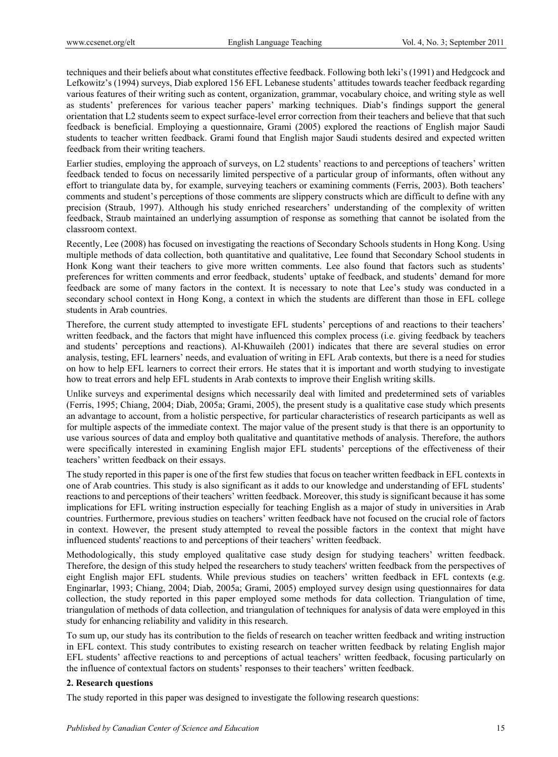techniques and their beliefs about what constitutes effective feedback. Following both leki's (1991) and Hedgcock and Lefkowitz's (1994) surveys, Diab explored 156 EFL Lebanese students' attitudes towards teacher feedback regarding various features of their writing such as content, organization, grammar, vocabulary choice, and writing style as well as students' preferences for various teacher papers' marking techniques. Diab's findings support the general orientation that L2 students seem to expect surface-level error correction from their teachers and believe that that such feedback is beneficial. Employing a questionnaire, Grami (2005) explored the reactions of English major Saudi students to teacher written feedback. Grami found that English major Saudi students desired and expected written feedback from their writing teachers.

Earlier studies, employing the approach of surveys, on L2 students' reactions to and perceptions of teachers' written feedback tended to focus on necessarily limited perspective of a particular group of informants, often without any effort to triangulate data by, for example, surveying teachers or examining comments (Ferris, 2003). Both teachers' comments and student's perceptions of those comments are slippery constructs which are difficult to define with any precision (Straub, 1997). Although his study enriched researchers' understanding of the complexity of written feedback, Straub maintained an underlying assumption of response as something that cannot be isolated from the classroom context.

Recently, Lee (2008) has focused on investigating the reactions of Secondary Schools students in Hong Kong. Using multiple methods of data collection, both quantitative and qualitative, Lee found that Secondary School students in Honk Kong want their teachers to give more written comments. Lee also found that factors such as students' preferences for written comments and error feedback, students' uptake of feedback, and students' demand for more feedback are some of many factors in the context. It is necessary to note that Lee's study was conducted in a secondary school context in Hong Kong, a context in which the students are different than those in EFL college students in Arab countries.

Therefore, the current study attempted to investigate EFL students' perceptions of and reactions to their teachers' written feedback, and the factors that might have influenced this complex process (i.e. giving feedback by teachers and students' perceptions and reactions). Al-Khuwaileh (2001) indicates that there are several studies on error analysis, testing, EFL learners' needs, and evaluation of writing in EFL Arab contexts, but there is a need for studies on how to help EFL learners to correct their errors. He states that it is important and worth studying to investigate how to treat errors and help EFL students in Arab contexts to improve their English writing skills.

Unlike surveys and experimental designs which necessarily deal with limited and predetermined sets of variables (Ferris, 1995; Chiang, 2004; Diab, 2005a; Grami, 2005), the present study is a qualitative case study which presents an advantage to account, from a holistic perspective, for particular characteristics of research participants as well as for multiple aspects of the immediate context. The major value of the present study is that there is an opportunity to use various sources of data and employ both qualitative and quantitative methods of analysis. Therefore, the authors were specifically interested in examining English major EFL students' perceptions of the effectiveness of their teachers' written feedback on their essays.

The study reported in this paper is one of the first few studies that focus on teacher written feedback in EFL contexts in one of Arab countries. This study is also significant as it adds to our knowledge and understanding of EFL students' reactions to and perceptions of their teachers' written feedback. Moreover, this study is significant because it has some implications for EFL writing instruction especially for teaching English as a major of study in universities in Arab countries. Furthermore, previous studies on teachers' written feedback have not focused on the crucial role of factors in context. However, the present study attempted to reveal the possible factors in the context that might have influenced students' reactions to and perceptions of their teachers' written feedback.

Methodologically, this study employed qualitative case study design for studying teachers' written feedback. Therefore, the design of this study helped the researchers to study teachers' written feedback from the perspectives of eight English major EFL students. While previous studies on teachers' written feedback in EFL contexts (e.g. Enginarlar, 1993; Chiang, 2004; Diab, 2005a; Grami, 2005) employed survey design using questionnaires for data collection, the study reported in this paper employed some methods for data collection. Triangulation of time, triangulation of methods of data collection, and triangulation of techniques for analysis of data were employed in this study for enhancing reliability and validity in this research.

To sum up, our study has its contribution to the fields of research on teacher written feedback and writing instruction in EFL context. This study contributes to existing research on teacher written feedback by relating English major EFL students' affective reactions to and perceptions of actual teachers' written feedback, focusing particularly on the influence of contextual factors on students' responses to their teachers' written feedback.

# **2. Research questions**

The study reported in this paper was designed to investigate the following research questions: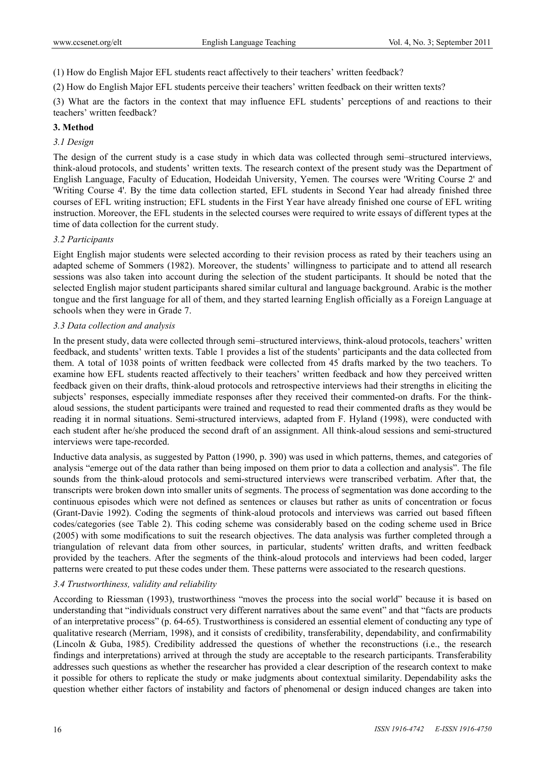- (1) How do English Major EFL students react affectively to their teachers' written feedback?
- (2) How do English Major EFL students perceive their teachers' written feedback on their written texts?

(3) What are the factors in the context that may influence EFL students' perceptions of and reactions to their teachers' written feedback?

## **3. Method**

# *3.1 Design*

The design of the current study is a case study in which data was collected through semi–structured interviews, think-aloud protocols, and students' written texts. The research context of the present study was the Department of English Language, Faculty of Education, Hodeidah University, Yemen. The courses were 'Writing Course 2' and 'Writing Course 4'. By the time data collection started, EFL students in Second Year had already finished three courses of EFL writing instruction; EFL students in the First Year have already finished one course of EFL writing instruction. Moreover, the EFL students in the selected courses were required to write essays of different types at the time of data collection for the current study.

## *3.2 Participants*

Eight English major students were selected according to their revision process as rated by their teachers using an adapted scheme of Sommers (1982). Moreover, the students' willingness to participate and to attend all research sessions was also taken into account during the selection of the student participants. It should be noted that the selected English major student participants shared similar cultural and language background. Arabic is the mother tongue and the first language for all of them, and they started learning English officially as a Foreign Language at schools when they were in Grade 7.

## *3.3 Data collection and analysis*

In the present study, data were collected through semi–structured interviews, think-aloud protocols, teachers' written feedback, and students' written texts. Table 1 provides a list of the students' participants and the data collected from them. A total of 1038 points of written feedback were collected from 45 drafts marked by the two teachers. To examine how EFL students reacted affectively to their teachers' written feedback and how they perceived written feedback given on their drafts, think-aloud protocols and retrospective interviews had their strengths in eliciting the subjects' responses, especially immediate responses after they received their commented-on drafts. For the thinkaloud sessions, the student participants were trained and requested to read their commented drafts as they would be reading it in normal situations. Semi-structured interviews, adapted from F. Hyland (1998), were conducted with each student after he/she produced the second draft of an assignment. All think-aloud sessions and semi-structured interviews were tape-recorded.

Inductive data analysis, as suggested by Patton (1990, p. 390) was used in which patterns, themes, and categories of analysis "emerge out of the data rather than being imposed on them prior to data a collection and analysis". The file sounds from the think-aloud protocols and semi-structured interviews were transcribed verbatim. After that, the transcripts were broken down into smaller units of segments. The process of segmentation was done according to the continuous episodes which were not defined as sentences or clauses but rather as units of concentration or focus (Grant-Davie 1992). Coding the segments of think-aloud protocols and interviews was carried out based fifteen codes/categories (see Table 2). This coding scheme was considerably based on the coding scheme used in Brice (2005) with some modifications to suit the research objectives. The data analysis was further completed through a triangulation of relevant data from other sources, in particular, students' written drafts, and written feedback provided by the teachers. After the segments of the think-aloud protocols and interviews had been coded, larger patterns were created to put these codes under them. These patterns were associated to the research questions.

## *3.4 Trustworthiness, validity and reliability*

According to Riessman (1993), trustworthiness "moves the process into the social world" because it is based on understanding that "individuals construct very different narratives about the same event" and that "facts are products of an interpretative process" (p. 64-65). Trustworthiness is considered an essential element of conducting any type of qualitative research (Merriam, 1998), and it consists of credibility, transferability, dependability, and confirmability (Lincoln & Guba, 1985). Credibility addressed the questions of whether the reconstructions (i.e., the research findings and interpretations) arrived at through the study are acceptable to the research participants. Transferability addresses such questions as whether the researcher has provided a clear description of the research context to make it possible for others to replicate the study or make judgments about contextual similarity. Dependability asks the question whether either factors of instability and factors of phenomenal or design induced changes are taken into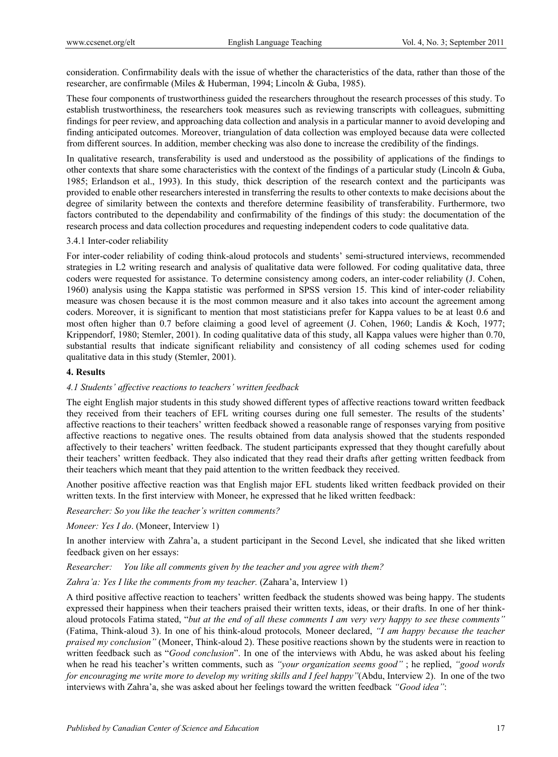consideration. Confirmability deals with the issue of whether the characteristics of the data, rather than those of the researcher, are confirmable (Miles & Huberman, 1994; Lincoln & Guba, 1985).

These four components of trustworthiness guided the researchers throughout the research processes of this study. To establish trustworthiness, the researchers took measures such as reviewing transcripts with colleagues, submitting findings for peer review, and approaching data collection and analysis in a particular manner to avoid developing and finding anticipated outcomes. Moreover, triangulation of data collection was employed because data were collected from different sources. In addition, member checking was also done to increase the credibility of the findings.

In qualitative research, transferability is used and understood as the possibility of applications of the findings to other contexts that share some characteristics with the context of the findings of a particular study (Lincoln & Guba, 1985; Erlandson et al., 1993). In this study, thick description of the research context and the participants was provided to enable other researchers interested in transferring the results to other contexts to make decisions about the degree of similarity between the contexts and therefore determine feasibility of transferability. Furthermore, two factors contributed to the dependability and confirmability of the findings of this study: the documentation of the research process and data collection procedures and requesting independent coders to code qualitative data.

## 3.4.1 Inter-coder reliability

For inter-coder reliability of coding think-aloud protocols and students' semi-structured interviews, recommended strategies in L2 writing research and analysis of qualitative data were followed. For coding qualitative data, three coders were requested for assistance. To determine consistency among coders, an inter-coder reliability (J. Cohen, 1960) analysis using the Kappa statistic was performed in SPSS version 15. This kind of inter-coder reliability measure was chosen because it is the most common measure and it also takes into account the agreement among coders. Moreover, it is significant to mention that most statisticians prefer for Kappa values to be at least 0.6 and most often higher than 0.7 before claiming a good level of agreement (J. Cohen, 1960; Landis & Koch, 1977; Krippendorf, 1980; Stemler, 2001). In coding qualitative data of this study, all Kappa values were higher than 0.70, substantial results that indicate significant reliability and consistency of all coding schemes used for coding qualitative data in this study (Stemler, 2001).

## **4. Results**

## *4.1 Students' affective reactions to teachers' written feedback*

The eight English major students in this study showed different types of affective reactions toward written feedback they received from their teachers of EFL writing courses during one full semester. The results of the students' affective reactions to their teachers' written feedback showed a reasonable range of responses varying from positive affective reactions to negative ones. The results obtained from data analysis showed that the students responded affectively to their teachers' written feedback. The student participants expressed that they thought carefully about their teachers' written feedback. They also indicated that they read their drafts after getting written feedback from their teachers which meant that they paid attention to the written feedback they received.

Another positive affective reaction was that English major EFL students liked written feedback provided on their written texts. In the first interview with Moneer, he expressed that he liked written feedback:

*Researcher: So you like the teacher's written comments?* 

*Moneer: Yes I do*. (Moneer, Interview 1)

In another interview with Zahra'a, a student participant in the Second Level, she indicated that she liked written feedback given on her essays:

*Researcher: You like all comments given by the teacher and you agree with them?* 

Zahra'a: Yes I like the comments from my teacher. (Zahara'a, Interview 1)

A third positive affective reaction to teachers' written feedback the students showed was being happy. The students expressed their happiness when their teachers praised their written texts, ideas, or their drafts. In one of her thinkaloud protocols Fatima stated, "*but at the end of all these comments I am very very happy to see these comments"*  (Fatima, Think-aloud 3). In one of his think-aloud protocols*,* Moneer declared, *"I am happy because the teacher praised my conclusion"* (Moneer, Think-aloud 2). These positive reactions shown by the students were in reaction to written feedback such as "*Good conclusion*". In one of the interviews with Abdu, he was asked about his feeling when he read his teacher's written comments, such as *"your organization seems good"* ; he replied, *"good words for encouraging me write more to develop my writing skills and I feel happy"*(Abdu, Interview 2). In one of the two interviews with Zahra'a, she was asked about her feelings toward the written feedback *"Good idea"*: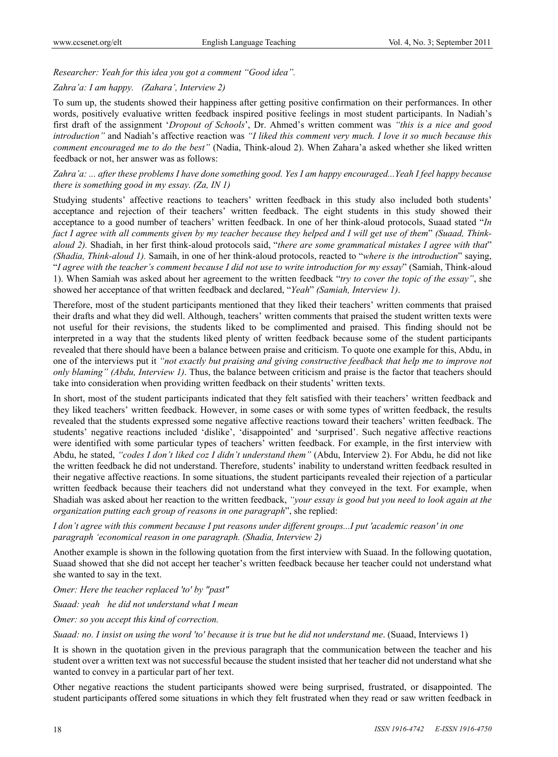## *Researcher: Yeah for this idea you got a comment "Good idea".*

## *Zahra'a: I am happy. (Zahara', Interview 2)*

To sum up, the students showed their happiness after getting positive confirmation on their performances. In other words, positively evaluative written feedback inspired positive feelings in most student participants. In Nadiah's first draft of the assignment '*Dropout of Schools*', Dr. Ahmed's written comment was *"this is a nice and good introduction"* and Nadiah's affective reaction was *"I liked this comment very much. I love it so much because this comment encouraged me to do the best"* (Nadia, Think-aloud 2). When Zahara'a asked whether she liked written feedback or not, her answer was as follows:

## *Zahra'a: ... after these problems I have done something good. Yes I am happy encouraged...Yeah I feel happy because there is something good in my essay. (Za, IN 1)*

Studying students' affective reactions to teachers' written feedback in this study also included both students' acceptance and rejection of their teachers' written feedback. The eight students in this study showed their acceptance to a good number of teachers' written feedback. In one of her think-aloud protocols, Suaad stated "*In fact I agree with all comments given by my teacher because they helped and I will get use of them*" *(Suaad, Thinkaloud 2).* Shadiah, in her first think-aloud protocols said, "*there are some grammatical mistakes I agree with that*" *(Shadia, Think-aloud 1).* Samaih, in one of her think-aloud protocols, reacted to "*where is the introduction*" saying, "*I agree with the teacher's comment because I did not use to write introduction for my essay*" (Samiah, Think-aloud 1). When Samiah was asked about her agreement to the written feedback "*try to cover the topic of the essay"*, she showed her acceptance of that written feedback and declared, "*Yeah*" *(Samiah, Interview 1)*.

Therefore, most of the student participants mentioned that they liked their teachers' written comments that praised their drafts and what they did well. Although, teachers' written comments that praised the student written texts were not useful for their revisions, the students liked to be complimented and praised. This finding should not be interpreted in a way that the students liked plenty of written feedback because some of the student participants revealed that there should have been a balance between praise and criticism. To quote one example for this, Abdu, in one of the interviews put it *"not exactly but praising and giving constructive feedback that help me to improve not only blaming" (Abdu, Interview 1)*. Thus, the balance between criticism and praise is the factor that teachers should take into consideration when providing written feedback on their students' written texts.

In short, most of the student participants indicated that they felt satisfied with their teachers' written feedback and they liked teachers' written feedback. However, in some cases or with some types of written feedback, the results revealed that the students expressed some negative affective reactions toward their teachers' written feedback. The students' negative reactions included 'dislike', 'disappointed' and 'surprised'. Such negative affective reactions were identified with some particular types of teachers' written feedback. For example, in the first interview with Abdu, he stated, *"codes I don't liked coz I didn't understand them"* (Abdu, Interview 2). For Abdu, he did not like the written feedback he did not understand. Therefore, students' inability to understand written feedback resulted in their negative affective reactions. In some situations, the student participants revealed their rejection of a particular written feedback because their teachers did not understand what they conveyed in the text. For example, when Shadiah was asked about her reaction to the written feedback, *"your essay is good but you need to look again at the organization putting each group of reasons in one paragraph*", she replied:

*I don't agree with this comment because I put reasons under different groups...I put 'academic reason' in one paragraph 'economical reason in one paragraph. (Shadia, Interview 2)* 

Another example is shown in the following quotation from the first interview with Suaad. In the following quotation, Suaad showed that she did not accept her teacher's written feedback because her teacher could not understand what she wanted to say in the text.

*Omer: Here the teacher replaced 'to' by "past"* 

*Suaad: yeah he did not understand what I mean* 

*Omer: so you accept this kind of correction.* 

*Suaad: no. I insist on using the word 'to' because it is true but he did not understand me*. (Suaad, Interviews 1)

It is shown in the quotation given in the previous paragraph that the communication between the teacher and his student over a written text was not successful because the student insisted that her teacher did not understand what she wanted to convey in a particular part of her text.

Other negative reactions the student participants showed were being surprised, frustrated, or disappointed. The student participants offered some situations in which they felt frustrated when they read or saw written feedback in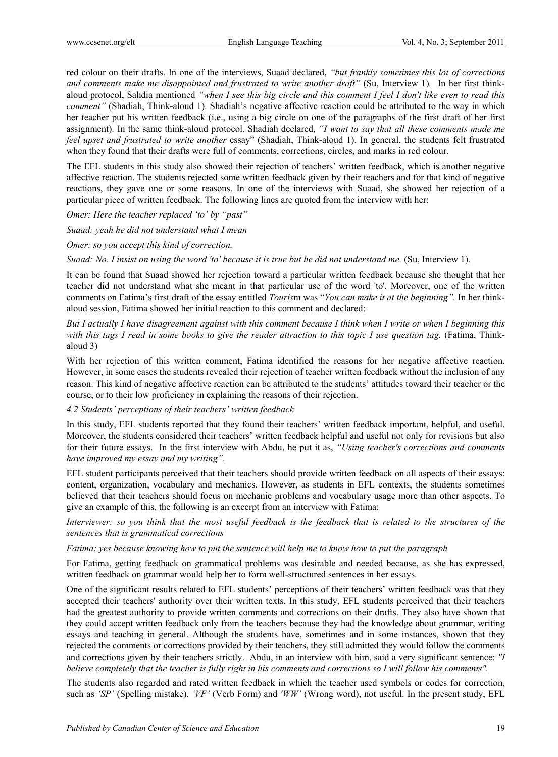red colour on their drafts. In one of the interviews, Suaad declared, *"but frankly sometimes this lot of corrections and comments make me disappointed and frustrated to write another draft"* (Su, Interview 1)*.* In her first thinkaloud protocol, Sahdia mentioned *"when I see this big circle and this comment I feel I don't like even to read this comment"* (Shadiah, Think-aloud 1). Shadiah's negative affective reaction could be attributed to the way in which her teacher put his written feedback (i.e., using a big circle on one of the paragraphs of the first draft of her first assignment). In the same think-aloud protocol, Shadiah declared, *"I want to say that all these comments made me feel upset and frustrated to write another* essay" (Shadiah, Think-aloud 1). In general, the students felt frustrated when they found that their drafts were full of comments, corrections, circles, and marks in red colour.

The EFL students in this study also showed their rejection of teachers' written feedback, which is another negative affective reaction. The students rejected some written feedback given by their teachers and for that kind of negative reactions, they gave one or some reasons. In one of the interviews with Suaad, she showed her rejection of a particular piece of written feedback. The following lines are quoted from the interview with her:

*Omer: Here the teacher replaced 'to' by "past"* 

*Suaad: yeah he did not understand what I mean* 

*Omer: so you accept this kind of correction.* 

*Suaad: No. I insist on using the word 'to' because it is true but he did not understand me.* (Su, Interview 1).

It can be found that Suaad showed her rejection toward a particular written feedback because she thought that her teacher did not understand what she meant in that particular use of the word 'to'. Moreover, one of the written comments on Fatima's first draft of the essay entitled *Touris*m was "*You can make it at the beginning".* In her thinkaloud session, Fatima showed her initial reaction to this comment and declared:

*But I actually I have disagreement against with this comment because I think when I write or when I beginning this with this tags I read in some books to give the reader attraction to this topic I use question tag.* (Fatima, Thinkaloud 3)

With her rejection of this written comment, Fatima identified the reasons for her negative affective reaction. However, in some cases the students revealed their rejection of teacher written feedback without the inclusion of any reason. This kind of negative affective reaction can be attributed to the students' attitudes toward their teacher or the course, or to their low proficiency in explaining the reasons of their rejection.

#### *4.2 Students' perceptions of their teachers' written feedback*

In this study, EFL students reported that they found their teachers' written feedback important, helpful, and useful. Moreover, the students considered their teachers' written feedback helpful and useful not only for revisions but also for their future essays. In the first interview with Abdu, he put it as, *"Using teacher's corrections and comments have improved my essay and my writing"*.

EFL student participants perceived that their teachers should provide written feedback on all aspects of their essays: content, organization, vocabulary and mechanics. However, as students in EFL contexts, the students sometimes believed that their teachers should focus on mechanic problems and vocabulary usage more than other aspects. To give an example of this, the following is an excerpt from an interview with Fatima:

*Interviewer: so you think that the most useful feedback is the feedback that is related to the structures of the sentences that is grammatical corrections* 

*Fatima: yes because knowing how to put the sentence will help me to know how to put the paragraph* 

For Fatima, getting feedback on grammatical problems was desirable and needed because, as she has expressed, written feedback on grammar would help her to form well-structured sentences in her essays.

One of the significant results related to EFL students' perceptions of their teachers' written feedback was that they accepted their teachers' authority over their written texts. In this study, EFL students perceived that their teachers had the greatest authority to provide written comments and corrections on their drafts. They also have shown that they could accept written feedback only from the teachers because they had the knowledge about grammar, writing essays and teaching in general. Although the students have, sometimes and in some instances, shown that they rejected the comments or corrections provided by their teachers, they still admitted they would follow the comments and corrections given by their teachers strictly. Abdu, in an interview with him, said a very significant sentence: *"I believe completely that the teacher is fully right in his comments and corrections so I will follow his comments".*

The students also regarded and rated written feedback in which the teacher used symbols or codes for correction, such as *'SP'* (Spelling mistake), *'VF'* (Verb Form) and *'WW'* (Wrong word), not useful. In the present study, EFL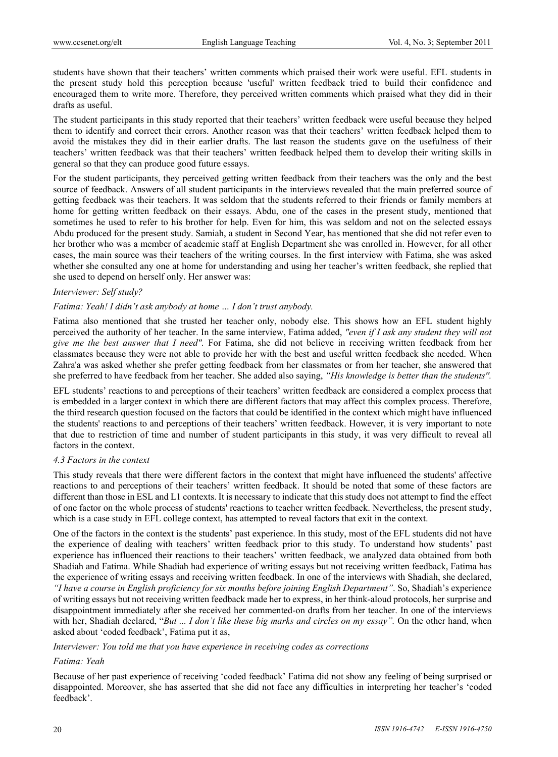students have shown that their teachers' written comments which praised their work were useful. EFL students in the present study hold this perception because 'useful' written feedback tried to build their confidence and encouraged them to write more. Therefore, they perceived written comments which praised what they did in their drafts as useful.

The student participants in this study reported that their teachers' written feedback were useful because they helped them to identify and correct their errors. Another reason was that their teachers' written feedback helped them to avoid the mistakes they did in their earlier drafts. The last reason the students gave on the usefulness of their teachers' written feedback was that their teachers' written feedback helped them to develop their writing skills in general so that they can produce good future essays.

For the student participants, they perceived getting written feedback from their teachers was the only and the best source of feedback. Answers of all student participants in the interviews revealed that the main preferred source of getting feedback was their teachers. It was seldom that the students referred to their friends or family members at home for getting written feedback on their essays. Abdu, one of the cases in the present study, mentioned that sometimes he used to refer to his brother for help. Even for him, this was seldom and not on the selected essays Abdu produced for the present study. Samiah, a student in Second Year, has mentioned that she did not refer even to her brother who was a member of academic staff at English Department she was enrolled in. However, for all other cases, the main source was their teachers of the writing courses. In the first interview with Fatima, she was asked whether she consulted any one at home for understanding and using her teacher's written feedback, she replied that she used to depend on herself only. Her answer was:

#### *Interviewer: Self study?*

#### *Fatima: Yeah! I didn't ask anybody at home … I don't trust anybody.*

Fatima also mentioned that she trusted her teacher only, nobody else. This shows how an EFL student highly perceived the authority of her teacher. In the same interview, Fatima added, *"even if I ask any student they will not give me the best answer that I need".* For Fatima, she did not believe in receiving written feedback from her classmates because they were not able to provide her with the best and useful written feedback she needed. When Zahra'a was asked whether she prefer getting feedback from her classmates or from her teacher, she answered that she preferred to have feedback from her teacher. She added also saying, *"His knowledge is better than the students''.* 

EFL students' reactions to and perceptions of their teachers' written feedback are considered a complex process that is embedded in a larger context in which there are different factors that may affect this complex process. Therefore, the third research question focused on the factors that could be identified in the context which might have influenced the students' reactions to and perceptions of their teachers' written feedback. However, it is very important to note that due to restriction of time and number of student participants in this study, it was very difficult to reveal all factors in the context.

#### *4.3 Factors in the context*

This study reveals that there were different factors in the context that might have influenced the students' affective reactions to and perceptions of their teachers' written feedback. It should be noted that some of these factors are different than those in ESL and L1 contexts. It is necessary to indicate that this study does not attempt to find the effect of one factor on the whole process of students' reactions to teacher written feedback. Nevertheless, the present study, which is a case study in EFL college context, has attempted to reveal factors that exit in the context.

One of the factors in the context is the students' past experience. In this study, most of the EFL students did not have the experience of dealing with teachers' written feedback prior to this study. To understand how students' past experience has influenced their reactions to their teachers' written feedback, we analyzed data obtained from both Shadiah and Fatima. While Shadiah had experience of writing essays but not receiving written feedback, Fatima has the experience of writing essays and receiving written feedback. In one of the interviews with Shadiah, she declared, *"I have a course in English proficiency for six months before joining English Department"*. So, Shadiah's experience of writing essays but not receiving written feedback made her to express, in her think-aloud protocols, her surprise and disappointment immediately after she received her commented-on drafts from her teacher. In one of the interviews with her, Shadiah declared, "*But ... I don't like these big marks and circles on my essay".* On the other hand, when asked about 'coded feedback', Fatima put it as,

*Interviewer: You told me that you have experience in receiving codes as corrections* 

#### *Fatima: Yeah*

Because of her past experience of receiving 'coded feedback' Fatima did not show any feeling of being surprised or disappointed. Moreover, she has asserted that she did not face any difficulties in interpreting her teacher's 'coded feedback'.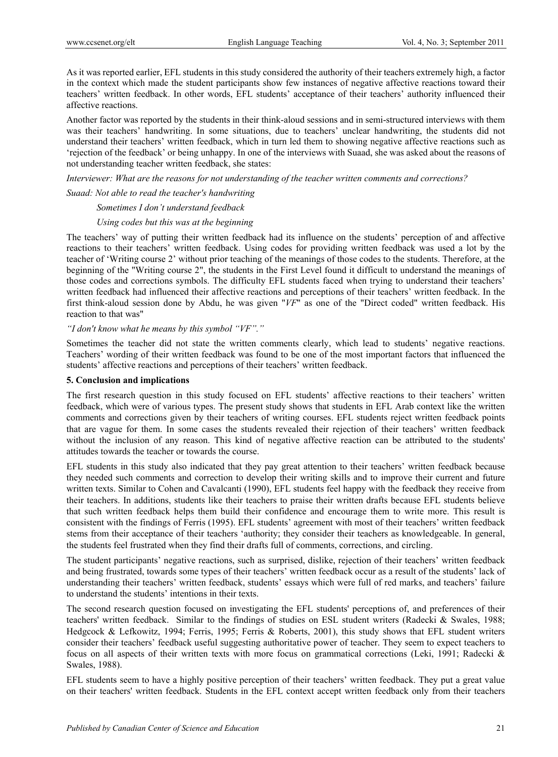As it was reported earlier, EFL students in this study considered the authority of their teachers extremely high, a factor in the context which made the student participants show few instances of negative affective reactions toward their teachers' written feedback. In other words, EFL students' acceptance of their teachers' authority influenced their affective reactions.

Another factor was reported by the students in their think-aloud sessions and in semi-structured interviews with them was their teachers' handwriting. In some situations, due to teachers' unclear handwriting, the students did not understand their teachers' written feedback, which in turn led them to showing negative affective reactions such as 'rejection of the feedback' or being unhappy. In one of the interviews with Suaad, she was asked about the reasons of not understanding teacher written feedback, she states:

*Interviewer: What are the reasons for not understanding of the teacher written comments and corrections?*

*Suaad: Not able to read the teacher's handwriting* 

 *Sometimes I don't understand feedback* 

#### *Using codes but this was at the beginning*

The teachers' way of putting their written feedback had its influence on the students' perception of and affective reactions to their teachers' written feedback. Using codes for providing written feedback was used a lot by the teacher of 'Writing course 2' without prior teaching of the meanings of those codes to the students. Therefore, at the beginning of the "Writing course 2", the students in the First Level found it difficult to understand the meanings of those codes and corrections symbols. The difficulty EFL students faced when trying to understand their teachers' written feedback had influenced their affective reactions and perceptions of their teachers' written feedback. In the first think-aloud session done by Abdu, he was given "*VF*" as one of the "Direct coded" written feedback. His reaction to that was"

*"I don't know what he means by this symbol "VF"."* 

Sometimes the teacher did not state the written comments clearly, which lead to students' negative reactions. Teachers' wording of their written feedback was found to be one of the most important factors that influenced the students' affective reactions and perceptions of their teachers' written feedback.

#### **5. Conclusion and implications**

The first research question in this study focused on EFL students' affective reactions to their teachers' written feedback, which were of various types. The present study shows that students in EFL Arab context like the written comments and corrections given by their teachers of writing courses. EFL students reject written feedback points that are vague for them. In some cases the students revealed their rejection of their teachers' written feedback without the inclusion of any reason. This kind of negative affective reaction can be attributed to the students' attitudes towards the teacher or towards the course.

EFL students in this study also indicated that they pay great attention to their teachers' written feedback because they needed such comments and correction to develop their writing skills and to improve their current and future written texts. Similar to Cohen and Cavalcanti (1990), EFL students feel happy with the feedback they receive from their teachers. In additions, students like their teachers to praise their written drafts because EFL students believe that such written feedback helps them build their confidence and encourage them to write more. This result is consistent with the findings of Ferris (1995). EFL students' agreement with most of their teachers' written feedback stems from their acceptance of their teachers 'authority; they consider their teachers as knowledgeable. In general, the students feel frustrated when they find their drafts full of comments, corrections, and circling.

The student participants' negative reactions, such as surprised, dislike, rejection of their teachers' written feedback and being frustrated, towards some types of their teachers' written feedback occur as a result of the students' lack of understanding their teachers' written feedback, students' essays which were full of red marks, and teachers' failure to understand the students' intentions in their texts.

The second research question focused on investigating the EFL students' perceptions of, and preferences of their teachers' written feedback. Similar to the findings of studies on ESL student writers (Radecki & Swales, 1988; Hedgcock & Lefkowitz, 1994; Ferris, 1995; Ferris & Roberts, 2001), this study shows that EFL student writers consider their teachers' feedback useful suggesting authoritative power of teacher. They seem to expect teachers to focus on all aspects of their written texts with more focus on grammatical corrections (Leki, 1991; Radecki & Swales, 1988).

EFL students seem to have a highly positive perception of their teachers' written feedback. They put a great value on their teachers' written feedback. Students in the EFL context accept written feedback only from their teachers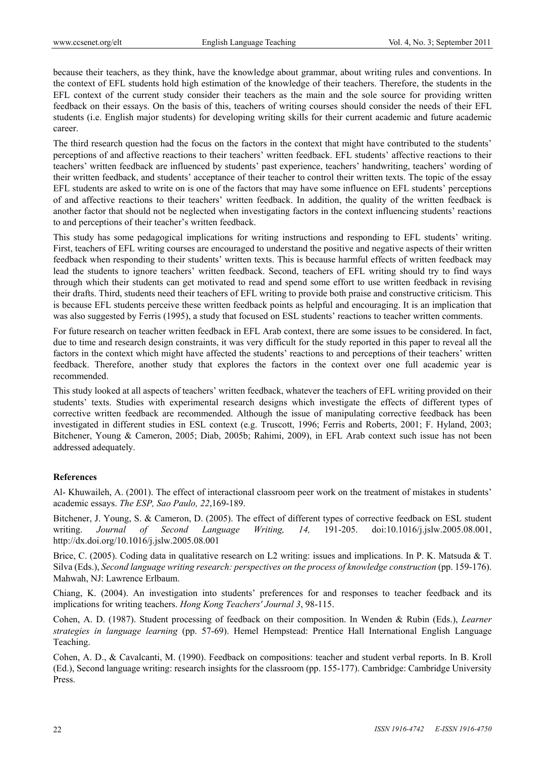because their teachers, as they think, have the knowledge about grammar, about writing rules and conventions. In the context of EFL students hold high estimation of the knowledge of their teachers. Therefore, the students in the EFL context of the current study consider their teachers as the main and the sole source for providing written feedback on their essays. On the basis of this, teachers of writing courses should consider the needs of their EFL students (i.e. English major students) for developing writing skills for their current academic and future academic career.

The third research question had the focus on the factors in the context that might have contributed to the students' perceptions of and affective reactions to their teachers' written feedback. EFL students' affective reactions to their teachers' written feedback are influenced by students' past experience, teachers' handwriting, teachers' wording of their written feedback, and students' acceptance of their teacher to control their written texts. The topic of the essay EFL students are asked to write on is one of the factors that may have some influence on EFL students' perceptions of and affective reactions to their teachers' written feedback. In addition, the quality of the written feedback is another factor that should not be neglected when investigating factors in the context influencing students' reactions to and perceptions of their teacher's written feedback.

This study has some pedagogical implications for writing instructions and responding to EFL students' writing. First, teachers of EFL writing courses are encouraged to understand the positive and negative aspects of their written feedback when responding to their students' written texts. This is because harmful effects of written feedback may lead the students to ignore teachers' written feedback. Second, teachers of EFL writing should try to find ways through which their students can get motivated to read and spend some effort to use written feedback in revising their drafts. Third, students need their teachers of EFL writing to provide both praise and constructive criticism. This is because EFL students perceive these written feedback points as helpful and encouraging. It is an implication that was also suggested by Ferris (1995), a study that focused on ESL students' reactions to teacher written comments.

For future research on teacher written feedback in EFL Arab context, there are some issues to be considered. In fact, due to time and research design constraints, it was very difficult for the study reported in this paper to reveal all the factors in the context which might have affected the students' reactions to and perceptions of their teachers' written feedback. Therefore, another study that explores the factors in the context over one full academic year is recommended.

This study looked at all aspects of teachers' written feedback, whatever the teachers of EFL writing provided on their students' texts. Studies with experimental research designs which investigate the effects of different types of corrective written feedback are recommended. Although the issue of manipulating corrective feedback has been investigated in different studies in ESL context (e.g. Truscott, 1996; Ferris and Roberts, 2001; F. Hyland, 2003; Bitchener, Young & Cameron, 2005; Diab, 2005b; Rahimi, 2009), in EFL Arab context such issue has not been addressed adequately.

## **References**

Al- Khuwaileh, A. (2001). The effect of interactional classroom peer work on the treatment of mistakes in students' academic essays. *The ESP, Sao Paulo, 22*,169-189.

Bitchener, J. Young, S. & Cameron, D. (2005). The effect of different types of corrective feedback on ESL student writing. *Journal of Second Language Writing, 14,* 191-205. doi:10.1016/j.jslw.2005.08.001, http://dx.doi.org/10.1016/j.jslw.2005.08.001

Brice, C. (2005). Coding data in qualitative research on L2 writing: issues and implications. In P. K. Matsuda & T. Silva (Eds.), *Second language writing research: perspectives on the process of knowledge construction* (pp. 159-176). Mahwah, NJ: Lawrence Erlbaum.

Chiang, K. (2004). An investigation into students' preferences for and responses to teacher feedback and its implications for writing teachers. *Hong Kong Teachers' Journal 3*, 98-115.

Cohen, A. D. (1987). Student processing of feedback on their composition. In Wenden & Rubin (Eds.), *Learner strategies in language learning* (pp. 57-69). Hemel Hempstead: Prentice Hall International English Language Teaching.

Cohen, A. D., & Cavalcanti, M. (1990). Feedback on compositions: teacher and student verbal reports. In B. Kroll (Ed.), Second language writing: research insights for the classroom (pp. 155-177). Cambridge: Cambridge University Press.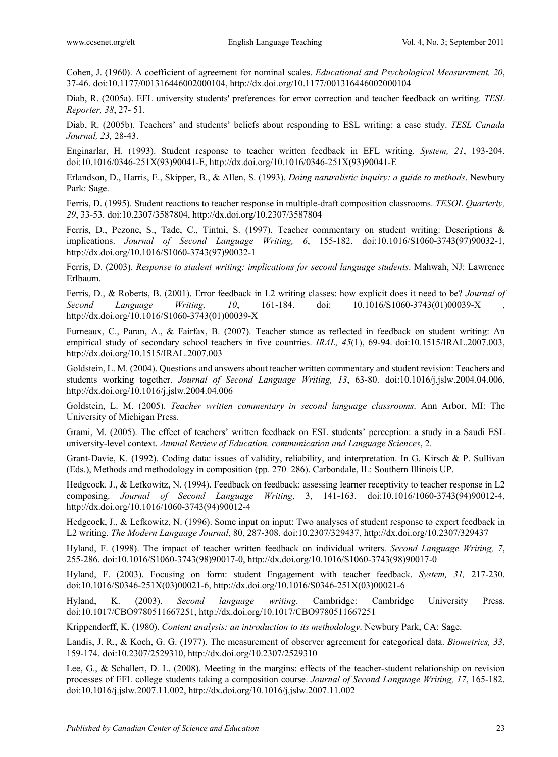Cohen, J. (1960). A coefficient of agreement for nominal scales. *Educational and Psychological Measurement, 20*, 37-46. doi:10.1177/001316446002000104, http://dx.doi.org/10.1177/001316446002000104

Diab, R. (2005a). EFL university students' preferences for error correction and teacher feedback on writing. *TESL Reporter, 38*, 27- 51.

Diab, R. (2005b). Teachers' and students' beliefs about responding to ESL writing: a case study. *TESL Canada Journal, 23,* 28-43.

Enginarlar, H. (1993). Student response to teacher written feedback in EFL writing. *System, 21*, 193-204. doi:10.1016/0346-251X(93)90041-E, http://dx.doi.org/10.1016/0346-251X(93)90041-E

Erlandson, D., Harris, E., Skipper, B., & Allen, S. (1993). *Doing naturalistic inquiry: a guide to methods*. Newbury Park: Sage.

Ferris, D. (1995). Student reactions to teacher response in multiple-draft composition classrooms. *TESOL Quarterly, 29*, 33-53. doi:10.2307/3587804, http://dx.doi.org/10.2307/3587804

Ferris, D., Pezone, S., Tade, C., Tintni, S. (1997). Teacher commentary on student writing: Descriptions & implications. *Journal of Second Language Writing, 6*, 155-182. doi:10.1016/S1060-3743(97)90032-1, http://dx.doi.org/10.1016/S1060-3743(97)90032-1

Ferris, D. (2003). *Response to student writing: implications for second language students*. Mahwah, NJ: Lawrence Erlbaum.

Ferris, D., & Roberts, B. (2001). Error feedback in L2 writing classes: how explicit does it need to be? *Journal of Second Language Writing, 10*, 161-184. doi: 10.1016/S1060-3743(01)00039-X , http://dx.doi.org/10.1016/S1060-3743(01)00039-X

Furneaux, C., Paran, A., & Fairfax, B. (2007). Teacher stance as reflected in feedback on student writing: An empirical study of secondary school teachers in five countries. *IRAL, 45*(1), 69-94. doi:10.1515/IRAL.2007.003, http://dx.doi.org/10.1515/IRAL.2007.003

Goldstein, L. M. (2004). Questions and answers about teacher written commentary and student revision: Teachers and students working together. *Journal of Second Language Writing, 13*, 63-80. doi:10.1016/j.jslw.2004.04.006, http://dx.doi.org/10.1016/j.jslw.2004.04.006

Goldstein, L. M. (2005). *Teacher written commentary in second language classrooms*. Ann Arbor, MI: The University of Michigan Press.

Grami, M. (2005). The effect of teachers' written feedback on ESL students' perception: a study in a Saudi ESL university-level context. *Annual Review of Education, communication and Language Sciences*, 2.

Grant-Davie, K. (1992). Coding data: issues of validity, reliability, and interpretation. In G. Kirsch & P. Sullivan (Eds.), Methods and methodology in composition (pp. 270–286). Carbondale, IL: Southern Illinois UP.

Hedgcock. J., & Lefkowitz, N. (1994). Feedback on feedback: assessing learner receptivity to teacher response in L2 composing. *Journal of Second Language Writing*, 3, 141-163. doi:10.1016/1060-3743(94)90012-4, http://dx.doi.org/10.1016/1060-3743(94)90012-4

Hedgcock, J., & Lefkowitz, N. (1996). Some input on input: Two analyses of student response to expert feedback in L2 writing. *The Modern Language Journal*, 80, 287-308. doi:10.2307/329437, http://dx.doi.org/10.2307/329437

Hyland, F. (1998). The impact of teacher written feedback on individual writers. *Second Language Writing, 7*, 255-286. doi:10.1016/S1060-3743(98)90017-0, http://dx.doi.org/10.1016/S1060-3743(98)90017-0

Hyland, F. (2003). Focusing on form: student Engagement with teacher feedback. *System, 31,* 217-230. doi:10.1016/S0346-251X(03)00021-6, http://dx.doi.org/10.1016/S0346-251X(03)00021-6

Hyland, K. (2003). *Second language writing*. Cambridge: Cambridge University Press. doi:10.1017/CBO9780511667251, http://dx.doi.org/10.1017/CBO9780511667251

Krippendorff, K. (1980). *Content analysis: an introduction to its methodology*. Newbury Park, CA: Sage.

Landis, J. R., & Koch, G. G. (1977). The measurement of observer agreement for categorical data. *Biometrics, 33*, 159-174. doi:10.2307/2529310, http://dx.doi.org/10.2307/2529310

Lee, G., & Schallert, D. L. (2008). Meeting in the margins: effects of the teacher-student relationship on revision processes of EFL college students taking a composition course. *Journal of Second Language Writing, 17*, 165-182. doi:10.1016/j.jslw.2007.11.002, http://dx.doi.org/10.1016/j.jslw.2007.11.002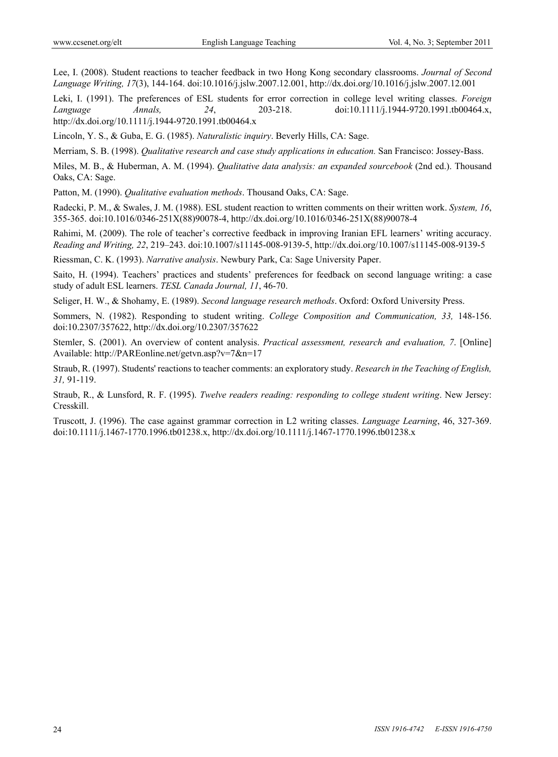Lee, I. (2008). Student reactions to teacher feedback in two Hong Kong secondary classrooms. *Journal of Second Language Writing, 17*(3), 144-164. doi:10.1016/j.jslw.2007.12.001, http://dx.doi.org/10.1016/j.jslw.2007.12.001

Leki, I. (1991). The preferences of ESL students for error correction in college level writing classes. *Foreign Language Annals, 24*, 203-218. doi:10.1111/j.1944-9720.1991.tb00464.x, http://dx.doi.org/10.1111/j.1944-9720.1991.tb00464.x

Lincoln, Y. S., & Guba, E. G. (1985). *Naturalistic inquiry*. Beverly Hills, CA: Sage.

Merriam, S. B. (1998). *Qualitative research and case study applications in education.* San Francisco: Jossey-Bass.

Miles, M. B., & Huberman, A. M. (1994). *Qualitative data analysis: an expanded sourcebook* (2nd ed.). Thousand Oaks, CA: Sage.

Patton, M. (1990). *Qualitative evaluation methods*. Thousand Oaks, CA: Sage.

Radecki, P. M., & Swales, J. M. (1988). ESL student reaction to written comments on their written work. *System, 16*, 355-365. doi:10.1016/0346-251X(88)90078-4, http://dx.doi.org/10.1016/0346-251X(88)90078-4

Rahimi, M. (2009). The role of teacher's corrective feedback in improving Iranian EFL learners' writing accuracy. *Reading and Writing, 22*, 219–243. doi:10.1007/s11145-008-9139-5, http://dx.doi.org/10.1007/s11145-008-9139-5

Riessman, C. K. (1993). *Narrative analysis*. Newbury Park, Ca: Sage University Paper.

Saito, H. (1994). Teachers' practices and students' preferences for feedback on second language writing: a case study of adult ESL learners. *TESL Canada Journal, 11*, 46-70.

Seliger, H. W., & Shohamy, E. (1989). *Second language research methods*. Oxford: Oxford University Press.

Sommers, N. (1982). Responding to student writing. *College Composition and Communication, 33,* 148-156. doi:10.2307/357622, http://dx.doi.org/10.2307/357622

Stemler, S. (2001). An overview of content analysis. *Practical assessment, research and evaluation, 7*. [Online] Available: http://PAREonline.net/getvn.asp?v=7&n=17

Straub, R. (1997). Students' reactions to teacher comments: an exploratory study. *Research in the Teaching of English, 31,* 91-119.

Straub, R., & Lunsford, R. F. (1995). *Twelve readers reading: responding to college student writing*. New Jersey: Cresskill.

Truscott, J. (1996). The case against grammar correction in L2 writing classes. *Language Learning*, 46, 327-369. doi:10.1111/j.1467-1770.1996.tb01238.x, http://dx.doi.org/10.1111/j.1467-1770.1996.tb01238.x